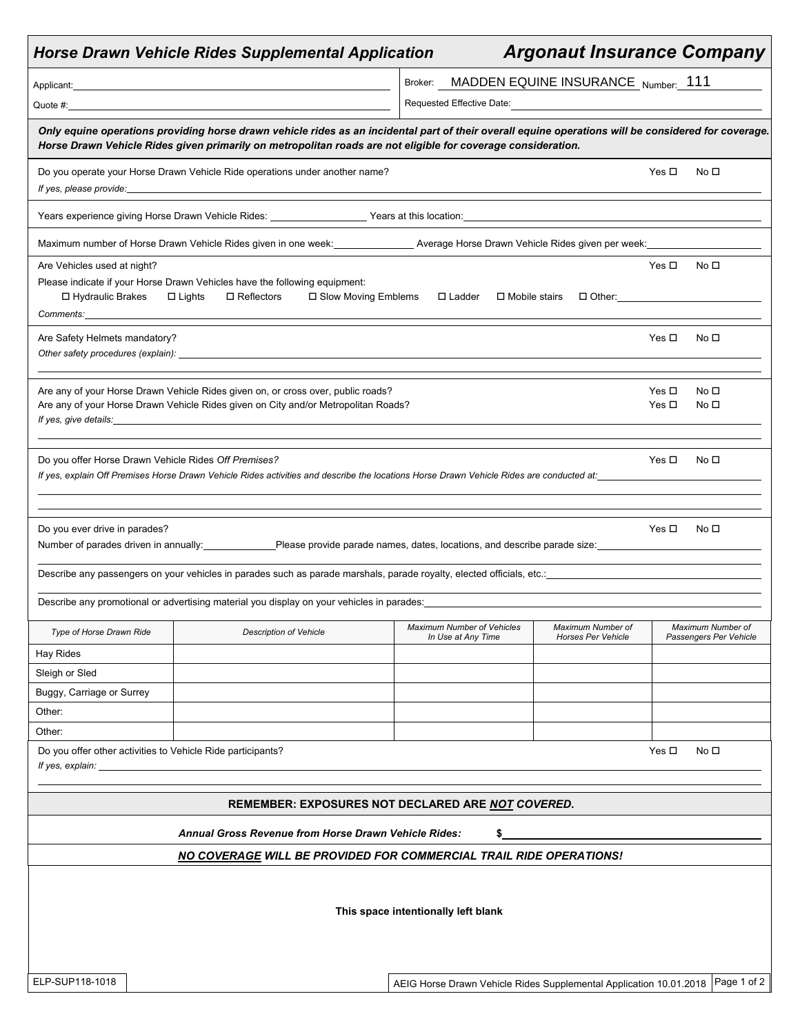|                                                                                                                                                                                                                                                                      |  | <b>Horse Drawn Vehicle Rides Supplemental Application</b>                                                                                                                                                                                                                                                                                                                                                |                                                                    | <b>Argonaut Insurance Company</b>              |                          |                                             |  |  |
|----------------------------------------------------------------------------------------------------------------------------------------------------------------------------------------------------------------------------------------------------------------------|--|----------------------------------------------------------------------------------------------------------------------------------------------------------------------------------------------------------------------------------------------------------------------------------------------------------------------------------------------------------------------------------------------------------|--------------------------------------------------------------------|------------------------------------------------|--------------------------|---------------------------------------------|--|--|
|                                                                                                                                                                                                                                                                      |  |                                                                                                                                                                                                                                                                                                                                                                                                          | Broker: MADDEN EQUINE INSURANCE Number: 111                        |                                                |                          |                                             |  |  |
|                                                                                                                                                                                                                                                                      |  | Quote #: the contract of the contract of the contract of the contract of the contract of the contract of the contract of the contract of the contract of the contract of the contract of the contract of the contract of the c                                                                                                                                                                           | Requested Effective Date:                                          |                                                |                          |                                             |  |  |
| Only equine operations providing horse drawn vehicle rides as an incidental part of their overall equine operations will be considered for coverage.<br>Horse Drawn Vehicle Rides given primarily on metropolitan roads are not eligible for coverage consideration. |  |                                                                                                                                                                                                                                                                                                                                                                                                          |                                                                    |                                                |                          |                                             |  |  |
|                                                                                                                                                                                                                                                                      |  | Do you operate your Horse Drawn Vehicle Ride operations under another name?                                                                                                                                                                                                                                                                                                                              |                                                                    |                                                | Yes $\Box$               | No <sub>1</sub>                             |  |  |
|                                                                                                                                                                                                                                                                      |  | Years experience giving Horse Drawn Vehicle Rides: Vears at this location: Vears at this location:                                                                                                                                                                                                                                                                                                       |                                                                    |                                                |                          |                                             |  |  |
|                                                                                                                                                                                                                                                                      |  | Maximum number of Horse Drawn Vehicle Rides given in one week: __________________ Average Horse Drawn Vehicle Rides given per week: _______                                                                                                                                                                                                                                                              |                                                                    |                                                |                          |                                             |  |  |
| Are Vehicles used at night?                                                                                                                                                                                                                                          |  |                                                                                                                                                                                                                                                                                                                                                                                                          |                                                                    |                                                | Yes $\Box$               | No <sub>1</sub>                             |  |  |
| □ Hydraulic Brakes                                                                                                                                                                                                                                                   |  | Please indicate if your Horse Drawn Vehicles have the following equipment:<br>$\Box$ Reflectors<br>□ Slow Moving Emblems<br>$\Box$ Lights                                                                                                                                                                                                                                                                | $\Box$ Ladder                                                      |                                                |                          |                                             |  |  |
| Are Safety Helmets mandatory?                                                                                                                                                                                                                                        |  |                                                                                                                                                                                                                                                                                                                                                                                                          |                                                                    |                                                | Yes $\Box$               | No <sub>1</sub>                             |  |  |
|                                                                                                                                                                                                                                                                      |  | Are any of your Horse Drawn Vehicle Rides given on, or cross over, public roads?<br>Are any of your Horse Drawn Vehicle Rides given on City and/or Metropolitan Roads?<br>If yes, give details: and the same state of the state of the state of the state of the state of the state of the state of the state of the state of the state of the state of the state of the state of the state of the state |                                                                    |                                                | Yes $\Box$<br>Yes $\Box$ | No <sub>1</sub><br>No □                     |  |  |
|                                                                                                                                                                                                                                                                      |  | Do you offer Horse Drawn Vehicle Rides Off Premises?<br>If yes, explain Off Premises Horse Drawn Vehicle Rides activities and describe the locations Horse Drawn Vehicle Rides are conducted at:                                                                                                                                                                                                         |                                                                    |                                                | Yes □                    | No $\square$                                |  |  |
| Do you ever drive in parades?                                                                                                                                                                                                                                        |  | Number of parades driven in annually:<br>Please provide parade names, dates, locations, and describe parade size:<br>Please provide parade size:                                                                                                                                                                                                                                                         |                                                                    |                                                | Yes □                    | No $\square$                                |  |  |
|                                                                                                                                                                                                                                                                      |  |                                                                                                                                                                                                                                                                                                                                                                                                          |                                                                    |                                                |                          |                                             |  |  |
|                                                                                                                                                                                                                                                                      |  | Describe any promotional or advertising material you display on your vehicles in parades:                                                                                                                                                                                                                                                                                                                |                                                                    |                                                |                          |                                             |  |  |
| Type of Horse Drawn Ride                                                                                                                                                                                                                                             |  | <b>Description of Vehicle</b>                                                                                                                                                                                                                                                                                                                                                                            | Maximum Number of Vehicles<br>In Use at Any Time                   | Maximum Number of<br><b>Horses Per Vehicle</b> |                          | Maximum Number of<br>Passengers Per Vehicle |  |  |
| Hay Rides                                                                                                                                                                                                                                                            |  |                                                                                                                                                                                                                                                                                                                                                                                                          |                                                                    |                                                |                          |                                             |  |  |
| Sleigh or Sled                                                                                                                                                                                                                                                       |  |                                                                                                                                                                                                                                                                                                                                                                                                          |                                                                    |                                                |                          |                                             |  |  |
| Buggy, Carriage or Surrey                                                                                                                                                                                                                                            |  |                                                                                                                                                                                                                                                                                                                                                                                                          |                                                                    |                                                |                          |                                             |  |  |
| Other:                                                                                                                                                                                                                                                               |  |                                                                                                                                                                                                                                                                                                                                                                                                          |                                                                    |                                                |                          |                                             |  |  |
| Other:                                                                                                                                                                                                                                                               |  |                                                                                                                                                                                                                                                                                                                                                                                                          |                                                                    |                                                |                          |                                             |  |  |
| If yes, explain: _                                                                                                                                                                                                                                                   |  | Do you offer other activities to Vehicle Ride participants?                                                                                                                                                                                                                                                                                                                                              |                                                                    |                                                | Yes $\square$            | No <sub>1</sub>                             |  |  |
|                                                                                                                                                                                                                                                                      |  |                                                                                                                                                                                                                                                                                                                                                                                                          |                                                                    |                                                |                          |                                             |  |  |
|                                                                                                                                                                                                                                                                      |  | REMEMBER: EXPOSURES NOT DECLARED ARE NOT COVERED.                                                                                                                                                                                                                                                                                                                                                        |                                                                    |                                                |                          |                                             |  |  |
|                                                                                                                                                                                                                                                                      |  | <b>Annual Gross Revenue from Horse Drawn Vehicle Rides:</b>                                                                                                                                                                                                                                                                                                                                              |                                                                    |                                                |                          |                                             |  |  |
|                                                                                                                                                                                                                                                                      |  | <b>NO COVERAGE WILL BE PROVIDED FOR COMMERCIAL TRAIL RIDE OPERATIONS!</b>                                                                                                                                                                                                                                                                                                                                |                                                                    |                                                |                          |                                             |  |  |
|                                                                                                                                                                                                                                                                      |  |                                                                                                                                                                                                                                                                                                                                                                                                          | This space intentionally left blank                                |                                                |                          |                                             |  |  |
| ELP-SUP118-1018                                                                                                                                                                                                                                                      |  |                                                                                                                                                                                                                                                                                                                                                                                                          | AEIG Horse Drawn Vehicle Rides Supplemental Application 10.01.2018 |                                                |                          | Page 1 of 2                                 |  |  |
|                                                                                                                                                                                                                                                                      |  |                                                                                                                                                                                                                                                                                                                                                                                                          |                                                                    |                                                |                          |                                             |  |  |